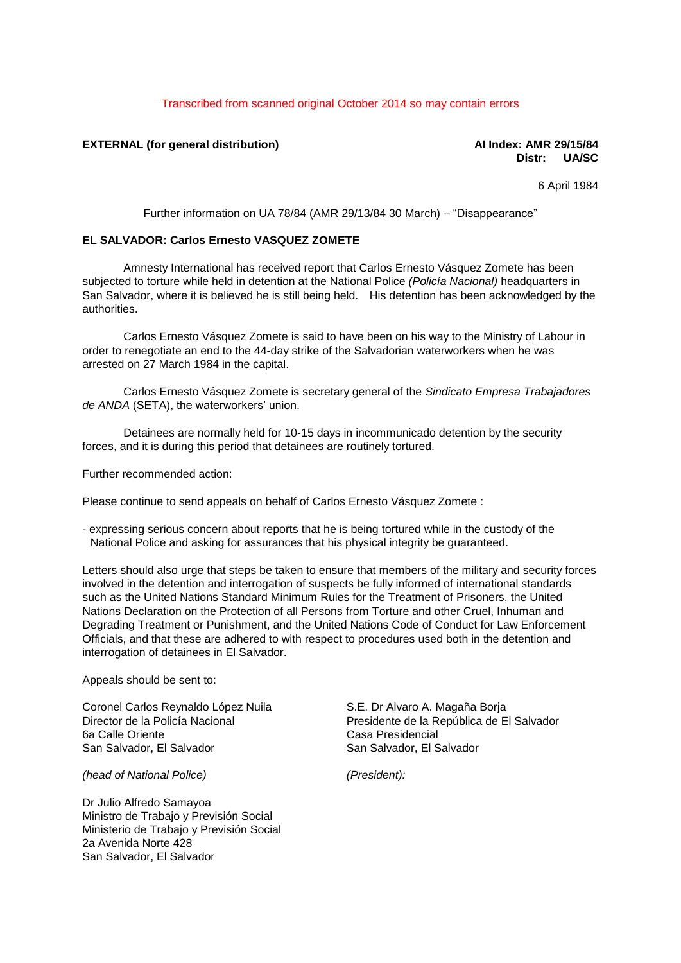### Transcribed from scanned original October 2014 so may contain errors

## **EXTERNAL (for general distribution) AI Index: AMR 29/15/84**

# **Distr: UA/SC**

6 April 1984

Further information on UA 78/84 (AMR 29/13/84 30 March) – "Disappearance"

### **EL SALVADOR: Carlos Ernesto VASQUEZ ZOMETE**

Amnesty International has received report that Carlos Ernesto Vásquez Zomete has been subjected to torture while held in detention at the National Police *(Policía Nacional)* headquarters in San Salvador, where it is believed he is still being held. His detention has been acknowledged by the authorities.

Carlos Ernesto Vásquez Zomete is said to have been on his way to the Ministry of Labour in order to renegotiate an end to the 44-day strike of the Salvadorian waterworkers when he was arrested on 27 March 1984 in the capital.

Carlos Ernesto Vásquez Zomete is secretary general of the *Sindicato Empresa Trabajadores de ANDA* (SETA), the waterworkers' union.

Detainees are normally held for 10-15 days in incommunicado detention by the security forces, and it is during this period that detainees are routinely tortured.

Further recommended action:

Please continue to send appeals on behalf of Carlos Ernesto Vásquez Zomete :

- expressing serious concern about reports that he is being tortured while in the custody of the National Police and asking for assurances that his physical integrity be guaranteed.

Letters should also urge that steps be taken to ensure that members of the military and security forces involved in the detention and interrogation of suspects be fully informed of international standards such as the United Nations Standard Minimum Rules for the Treatment of Prisoners, the United Nations Declaration on the Protection of all Persons from Torture and other Cruel, Inhuman and Degrading Treatment or Punishment, and the United Nations Code of Conduct for Law Enforcement Officials, and that these are adhered to with respect to procedures used both in the detention and interrogation of detainees in El Salvador.

Appeals should be sent to:

Coronel Carlos Reynaldo López Nuila Director de la Policía Nacional 6a Calle Oriente San Salvador, El Salvador

*(head of National Police)*

Dr Julio Alfredo Samayoa Ministro de Trabajo y Previsión Social Ministerio de Trabajo y Previsión Social 2a Avenida Norte 428 San Salvador, El Salvador

S.E. Dr Alvaro A. Magaña Borja Presidente de la República de El Salvador Casa Presidencial San Salvador, El Salvador

*(President):*